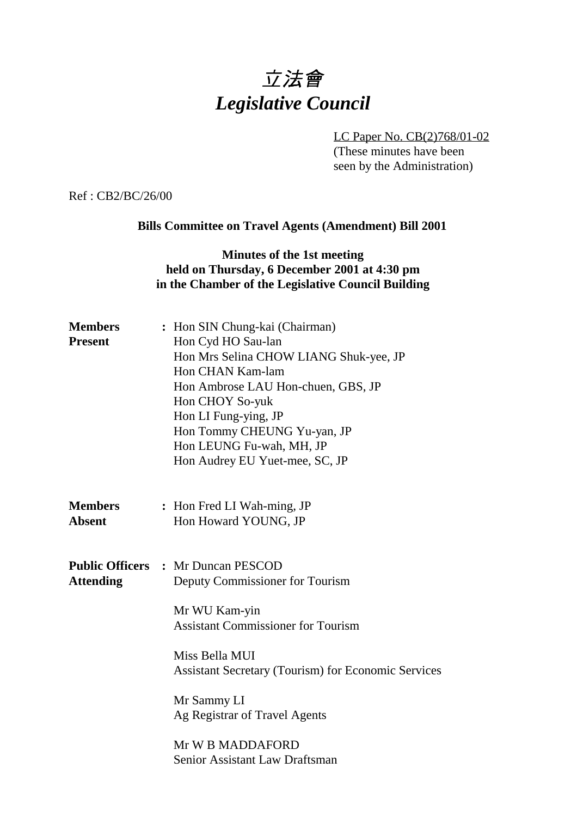# 立法會 *Legislative Council*

LC Paper No. CB(2)768/01-02

(These minutes have been seen by the Administration)

Ref : CB2/BC/26/00

#### **Bills Committee on Travel Agents (Amendment) Bill 2001**

#### **Minutes of the 1st meeting held on Thursday, 6 December 2001 at 4:30 pm in the Chamber of the Legislative Council Building**

| <b>Members</b><br><b>Present</b> | : Hon SIN Chung-kai (Chairman)<br>Hon Cyd HO Sau-lan<br>Hon Mrs Selina CHOW LIANG Shuk-yee, JP<br>Hon CHAN Kam-lam<br>Hon Ambrose LAU Hon-chuen, GBS, JP<br>Hon CHOY So-yuk<br>Hon LI Fung-ying, JP<br>Hon Tommy CHEUNG Yu-yan, JP<br>Hon LEUNG Fu-wah, MH, JP<br>Hon Audrey EU Yuet-mee, SC, JP                                 |
|----------------------------------|----------------------------------------------------------------------------------------------------------------------------------------------------------------------------------------------------------------------------------------------------------------------------------------------------------------------------------|
| <b>Members</b><br><b>Absent</b>  | : Hon Fred LI Wah-ming, JP<br>Hon Howard YOUNG, JP                                                                                                                                                                                                                                                                               |
| <b>Attending</b>                 | <b>Public Officers : Mr Duncan PESCOD</b><br>Deputy Commissioner for Tourism<br>Mr WU Kam-yin<br><b>Assistant Commissioner for Tourism</b><br>Miss Bella MUI<br><b>Assistant Secretary (Tourism) for Economic Services</b><br>Mr Sammy LI<br>Ag Registrar of Travel Agents<br>Mr W B MADDAFORD<br>Senior Assistant Law Draftsman |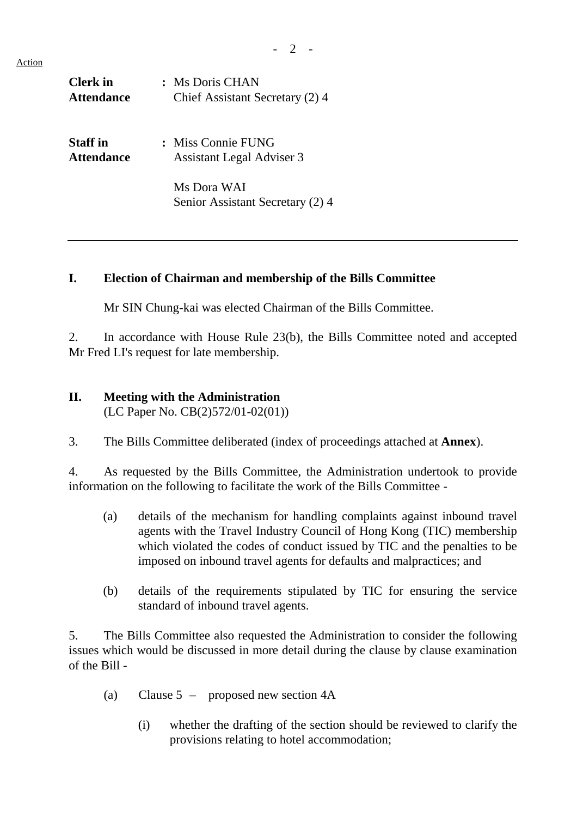Action

| <b>Clerk</b> in<br><b>Attendance</b> | : Ms Doris CHAN<br>Chief Assistant Secretary (2) 4     |
|--------------------------------------|--------------------------------------------------------|
| <b>Staff</b> in<br><b>Attendance</b> | : Miss Connie FUNG<br><b>Assistant Legal Adviser 3</b> |
|                                      | Ms Dora WAI<br>Senior Assistant Secretary (2) 4        |

#### **I. Election of Chairman and membership of the Bills Committee**

Mr SIN Chung-kai was elected Chairman of the Bills Committee.

2. In accordance with House Rule 23(b), the Bills Committee noted and accepted Mr Fred LI's request for late membership.

## **II. Meeting with the Administration**

(LC Paper No. CB(2)572/01-02(01))

3. The Bills Committee deliberated (index of proceedings attached at **Annex**).

4. As requested by the Bills Committee, the Administration undertook to provide information on the following to facilitate the work of the Bills Committee -

- (a) details of the mechanism for handling complaints against inbound travel agents with the Travel Industry Council of Hong Kong (TIC) membership which violated the codes of conduct issued by TIC and the penalties to be imposed on inbound travel agents for defaults and malpractices; and
- (b) details of the requirements stipulated by TIC for ensuring the service standard of inbound travel agents.

5. The Bills Committee also requested the Administration to consider the following issues which would be discussed in more detail during the clause by clause examination of the Bill -

- (a) Clause 5 proposed new section 4A
	- (i) whether the drafting of the section should be reviewed to clarify the provisions relating to hotel accommodation;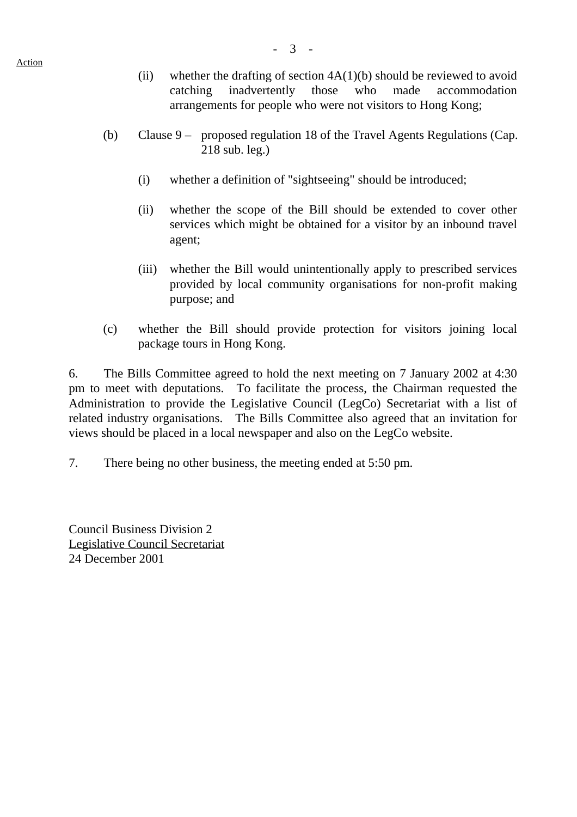Action

- (ii) whether the drafting of section  $4A(1)(b)$  should be reviewed to avoid catching inadvertently those who made accommodation arrangements for people who were not visitors to Hong Kong;
- (b) Clause 9 proposed regulation 18 of the Travel Agents Regulations (Cap. 218 sub. leg.)
	- (i) whether a definition of "sightseeing" should be introduced;
	- (ii) whether the scope of the Bill should be extended to cover other services which might be obtained for a visitor by an inbound travel agent;
	- (iii) whether the Bill would unintentionally apply to prescribed services provided by local community organisations for non-profit making purpose; and
- (c) whether the Bill should provide protection for visitors joining local package tours in Hong Kong.

6. The Bills Committee agreed to hold the next meeting on 7 January 2002 at 4:30 pm to meet with deputations. To facilitate the process, the Chairman requested the Administration to provide the Legislative Council (LegCo) Secretariat with a list of related industry organisations. The Bills Committee also agreed that an invitation for views should be placed in a local newspaper and also on the LegCo website.

7. There being no other business, the meeting ended at 5:50 pm.

Council Business Division 2 Legislative Council Secretariat 24 December 2001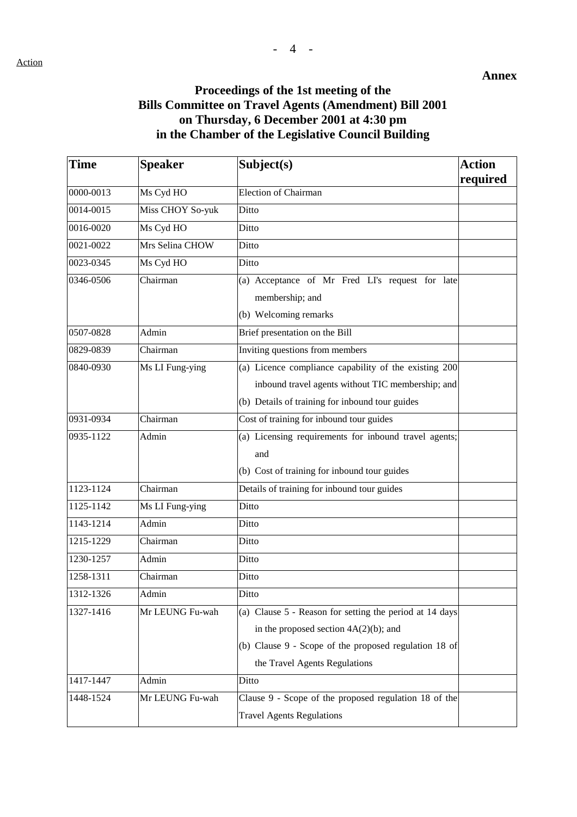#### **Proceedings of the 1st meeting of the Bills Committee on Travel Agents (Amendment) Bill 2001 on Thursday, 6 December 2001 at 4:30 pm in the Chamber of the Legislative Council Building**

| <b>Time</b>             | <b>Speaker</b>   | Subject(s)                                              | <b>Action</b><br>required |
|-------------------------|------------------|---------------------------------------------------------|---------------------------|
| 0000-0013               | Ms Cyd HO        | <b>Election of Chairman</b>                             |                           |
| 0014-0015               | Miss CHOY So-yuk | Ditto                                                   |                           |
| 0016-0020               | Ms Cyd HO        | Ditto                                                   |                           |
| 0021-0022               | Mrs Selina CHOW  | Ditto                                                   |                           |
| 0023-0345               | Ms Cyd HO        | Ditto                                                   |                           |
| 0346-0506               | Chairman         | (a) Acceptance of Mr Fred LI's request for late         |                           |
|                         |                  | membership; and                                         |                           |
|                         |                  | (b) Welcoming remarks                                   |                           |
| 0507-0828               | Admin            | Brief presentation on the Bill                          |                           |
| 0829-0839               | Chairman         | Inviting questions from members                         |                           |
| 0840-0930               | Ms LI Fung-ying  | (a) Licence compliance capability of the existing 200   |                           |
|                         |                  | inbound travel agents without TIC membership; and       |                           |
|                         |                  | (b) Details of training for inbound tour guides         |                           |
| 0931-0934               | Chairman         | Cost of training for inbound tour guides                |                           |
| 0935-1122               | Admin            | (a) Licensing requirements for inbound travel agents;   |                           |
|                         |                  | and                                                     |                           |
|                         |                  | (b) Cost of training for inbound tour guides            |                           |
| 1123-1124               | Chairman         | Details of training for inbound tour guides             |                           |
| 1125-1142               | Ms LI Fung-ying  | Ditto                                                   |                           |
| 1143-1214               | Admin            | Ditto                                                   |                           |
| $\overline{12}$ 15-1229 | Chairman         | Ditto                                                   |                           |
| 1230-1257               | Admin            | Ditto                                                   |                           |
| 1258-1311               | Chairman         | Ditto                                                   |                           |
| 1312-1326               | Admin            | Ditto                                                   |                           |
| 1327-1416               | Mr LEUNG Fu-wah  | (a) Clause 5 - Reason for setting the period at 14 days |                           |
|                         |                  | in the proposed section $4A(2)(b)$ ; and                |                           |
|                         |                  | (b) Clause 9 - Scope of the proposed regulation 18 of   |                           |
|                         |                  | the Travel Agents Regulations                           |                           |
| 1417-1447               | Admin            | Ditto                                                   |                           |
| 1448-1524               | Mr LEUNG Fu-wah  | Clause 9 - Scope of the proposed regulation 18 of the   |                           |
|                         |                  | <b>Travel Agents Regulations</b>                        |                           |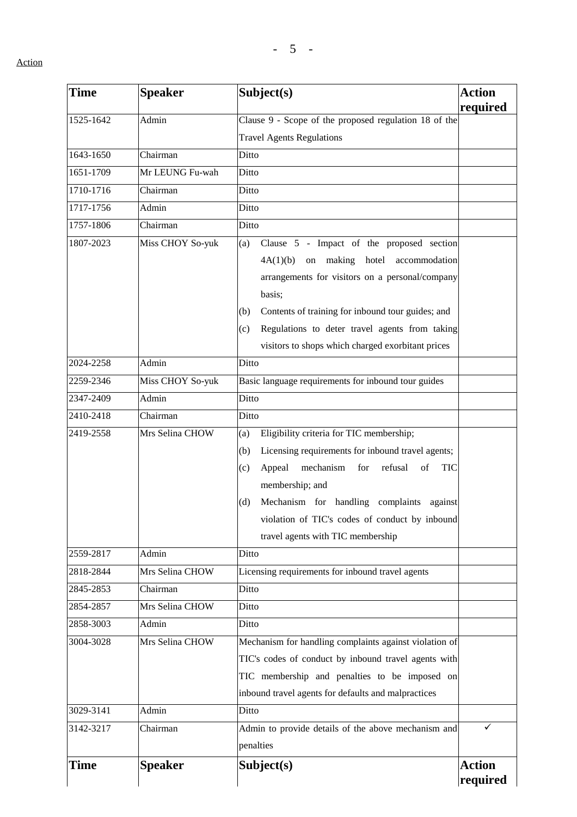| Time      | <b>Speaker</b>   | Subject(s)                                                       | <b>Action</b> |
|-----------|------------------|------------------------------------------------------------------|---------------|
|           |                  |                                                                  | required      |
| 1525-1642 | Admin            | Clause 9 - Scope of the proposed regulation 18 of the            |               |
|           |                  | <b>Travel Agents Regulations</b>                                 |               |
| 1643-1650 | Chairman         | Ditto                                                            |               |
| 1651-1709 | Mr LEUNG Fu-wah  | Ditto                                                            |               |
| 1710-1716 | Chairman         | Ditto                                                            |               |
| 1717-1756 | Admin            | Ditto                                                            |               |
| 1757-1806 | Chairman         | Ditto                                                            |               |
| 1807-2023 | Miss CHOY So-yuk | Clause 5 - Impact of the proposed section<br>(a)                 |               |
|           |                  | on making hotel<br>4A(1)(b)<br>accommodation                     |               |
|           |                  | arrangements for visitors on a personal/company                  |               |
|           |                  | basis;                                                           |               |
|           |                  | Contents of training for inbound tour guides; and<br>(b)         |               |
|           |                  | Regulations to deter travel agents from taking<br>(c)            |               |
|           |                  | visitors to shops which charged exorbitant prices                |               |
| 2024-2258 | Admin            | Ditto                                                            |               |
| 2259-2346 | Miss CHOY So-yuk | Basic language requirements for inbound tour guides              |               |
| 2347-2409 | Admin            | Ditto                                                            |               |
| 2410-2418 | Chairman         | Ditto                                                            |               |
| 2419-2558 | Mrs Selina CHOW  | Eligibility criteria for TIC membership;<br>(a)                  |               |
|           |                  | Licensing requirements for inbound travel agents;<br>(b)         |               |
|           |                  | mechanism<br>refusal<br>Appeal<br>for<br>of<br><b>TIC</b><br>(c) |               |
|           |                  | membership; and                                                  |               |
|           |                  | Mechanism for handling complaints against<br>(d)                 |               |
|           |                  | violation of TIC's codes of conduct by inbound                   |               |
|           |                  | travel agents with TIC membership                                |               |
| 2559-2817 | Admin            | Ditto                                                            |               |
| 2818-2844 | Mrs Selina CHOW  | Licensing requirements for inbound travel agents                 |               |
| 2845-2853 | Chairman         | Ditto                                                            |               |
| 2854-2857 | Mrs Selina CHOW  | Ditto                                                            |               |
| 2858-3003 | Admin            | Ditto                                                            |               |
| 3004-3028 | Mrs Selina CHOW  | Mechanism for handling complaints against violation of           |               |
|           |                  | TIC's codes of conduct by inbound travel agents with             |               |
|           |                  |                                                                  |               |
|           |                  | TIC membership and penalties to be imposed on                    |               |
|           |                  | inbound travel agents for defaults and malpractices              |               |
| 3029-3141 | Admin            | Ditto                                                            |               |
| 3142-3217 | Chairman         | Admin to provide details of the above mechanism and              | ✓             |
|           |                  | penalties                                                        |               |
| Time      | <b>Speaker</b>   | Subject(s)                                                       | <b>Action</b> |
|           |                  |                                                                  | required      |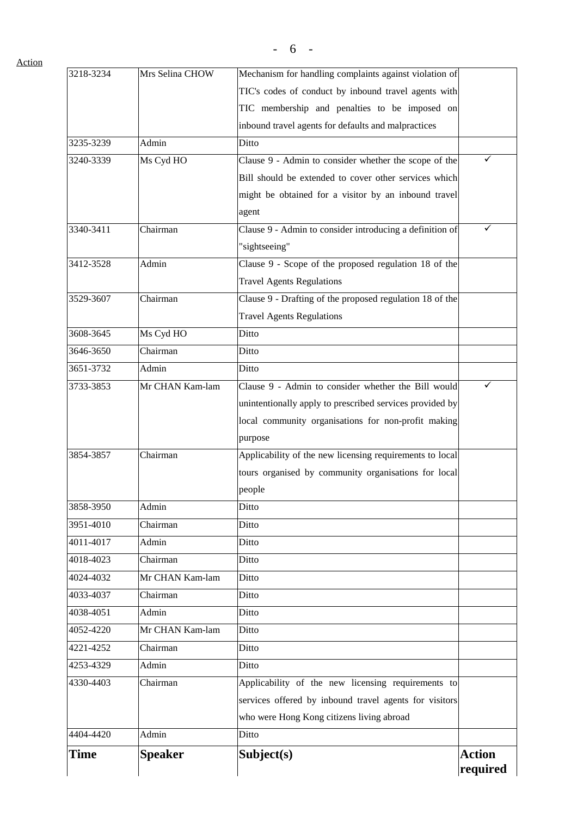| 3218-3234 | Mrs Selina CHOW | Mechanism for handling complaints against violation of   |               |
|-----------|-----------------|----------------------------------------------------------|---------------|
|           |                 | TIC's codes of conduct by inbound travel agents with     |               |
|           |                 | TIC membership and penalties to be imposed on            |               |
|           |                 | inbound travel agents for defaults and malpractices      |               |
| 3235-3239 | Admin           | Ditto                                                    |               |
| 3240-3339 | Ms Cyd HO       | Clause 9 - Admin to consider whether the scope of the    |               |
|           |                 | Bill should be extended to cover other services which    |               |
|           |                 | might be obtained for a visitor by an inbound travel     |               |
|           |                 | agent                                                    |               |
| 3340-3411 | Chairman        | Clause 9 - Admin to consider introducing a definition of | ✓             |
|           |                 | "sightseeing"                                            |               |
| 3412-3528 | Admin           | Clause 9 - Scope of the proposed regulation 18 of the    |               |
|           |                 | <b>Travel Agents Regulations</b>                         |               |
| 3529-3607 | Chairman        | Clause 9 - Drafting of the proposed regulation 18 of the |               |
|           |                 | <b>Travel Agents Regulations</b>                         |               |
| 3608-3645 | Ms Cyd HO       | Ditto                                                    |               |
| 3646-3650 | Chairman        | Ditto                                                    |               |
| 3651-3732 | Admin           | Ditto                                                    |               |
| 3733-3853 | Mr CHAN Kam-lam | Clause 9 - Admin to consider whether the Bill would      | ✓             |
|           |                 | unintentionally apply to prescribed services provided by |               |
|           |                 | local community organisations for non-profit making      |               |
|           |                 | purpose                                                  |               |
| 3854-3857 | Chairman        | Applicability of the new licensing requirements to local |               |
|           |                 | tours organised by community organisations for local     |               |
|           |                 | people                                                   |               |
| 3858-3950 | Admin           | Ditto                                                    |               |
| 3951-4010 | Chairman        | Ditto                                                    |               |
| 4011-4017 | Admin           | Ditto                                                    |               |
| 4018-4023 | Chairman        | Ditto                                                    |               |
| 4024-4032 | Mr CHAN Kam-lam | Ditto                                                    |               |
| 4033-4037 | Chairman        | Ditto                                                    |               |
| 4038-4051 | Admin           | Ditto                                                    |               |
| 4052-4220 | Mr CHAN Kam-lam | Ditto                                                    |               |
| 4221-4252 | Chairman        | Ditto                                                    |               |
| 4253-4329 | Admin           | Ditto                                                    |               |
| 4330-4403 | Chairman        | Applicability of the new licensing requirements to       |               |
|           |                 | services offered by inbound travel agents for visitors   |               |
|           |                 | who were Hong Kong citizens living abroad                |               |
| 4404-4420 | Admin           | Ditto                                                    |               |
| Time      | <b>Speaker</b>  | Subject(s)                                               | <b>Action</b> |
|           |                 |                                                          | required      |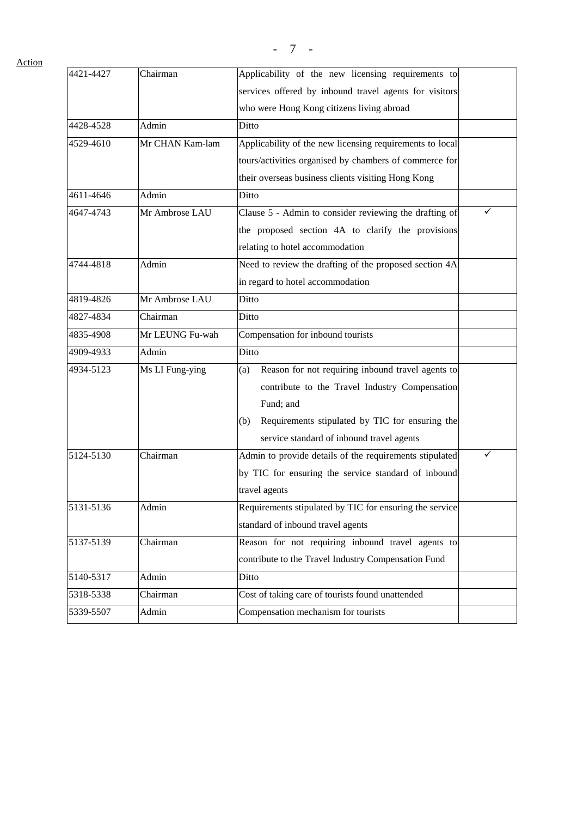Action

| 4421-4427 | Chairman        | Applicability of the new licensing requirements to       |   |
|-----------|-----------------|----------------------------------------------------------|---|
|           |                 | services offered by inbound travel agents for visitors   |   |
|           |                 | who were Hong Kong citizens living abroad                |   |
| 4428-4528 | Admin           | Ditto                                                    |   |
| 4529-4610 | Mr CHAN Kam-lam | Applicability of the new licensing requirements to local |   |
|           |                 | tours/activities organised by chambers of commerce for   |   |
|           |                 | their overseas business clients visiting Hong Kong       |   |
| 4611-4646 | Admin           | Ditto                                                    |   |
| 4647-4743 | Mr Ambrose LAU  | Clause 5 - Admin to consider reviewing the drafting of   | ✓ |
|           |                 | the proposed section 4A to clarify the provisions        |   |
|           |                 | relating to hotel accommodation                          |   |
| 4744-4818 | Admin           | Need to review the drafting of the proposed section 4A   |   |
|           |                 | in regard to hotel accommodation                         |   |
| 4819-4826 | Mr Ambrose LAU  | Ditto                                                    |   |
| 4827-4834 | Chairman        | Ditto                                                    |   |
| 4835-4908 | Mr LEUNG Fu-wah | Compensation for inbound tourists                        |   |
| 4909-4933 | Admin           | Ditto                                                    |   |
| 4934-5123 | Ms LI Fung-ying | Reason for not requiring inbound travel agents to<br>(a) |   |
|           |                 | contribute to the Travel Industry Compensation           |   |
|           |                 | Fund; and                                                |   |
|           |                 | Requirements stipulated by TIC for ensuring the<br>(b)   |   |
|           |                 | service standard of inbound travel agents                |   |
| 5124-5130 | Chairman        | Admin to provide details of the requirements stipulated  | ✓ |
|           |                 | by TIC for ensuring the service standard of inbound      |   |
|           |                 | travel agents                                            |   |
| 5131-5136 | Admin           | Requirements stipulated by TIC for ensuring the service  |   |
|           |                 | standard of inbound travel agents                        |   |
| 5137-5139 | Chairman        | Reason for not requiring inbound travel agents to        |   |
|           |                 | contribute to the Travel Industry Compensation Fund      |   |
| 5140-5317 | Admin           | Ditto                                                    |   |
| 5318-5338 | Chairman        | Cost of taking care of tourists found unattended         |   |
| 5339-5507 | Admin           | Compensation mechanism for tourists                      |   |